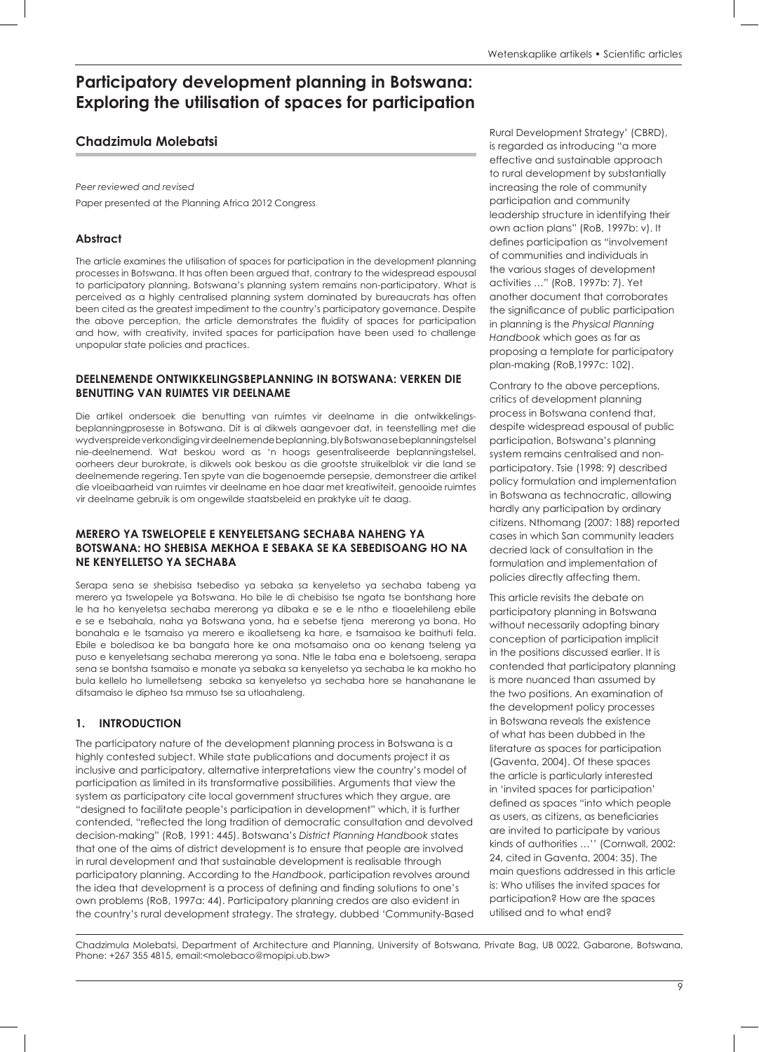# **Participatory development planning in Botswana: Exploring the utilisation of spaces for participation**

# **Chadzimula Molebatsi**

*Peer reviewed and revised* Paper presented at the Planning Africa 2012 Congress

#### **Abstract**

The article examines the utilisation of spaces for participation in the development planning processes in Botswana. It has often been argued that, contrary to the widespread espousal to participatory planning, Botswana's planning system remains non-participatory. What is perceived as a highly centralised planning system dominated by bureaucrats has often been cited as the greatest impediment to the country's participatory governance. Despite the above perception, the article demonstrates the fluidity of spaces for participation and how, with creativity, invited spaces for participation have been used to challenge unpopular state policies and practices.

#### **DEELNEMENDE ONTWIKKELINGSBEPLANNING IN BOTSWANA: VERKEN DIE BENUTTING VAN RUIMTES VIR DEELNAME**

Die artikel ondersoek die benutting van ruimtes vir deelname in die ontwikkelingsbeplanningprosesse in Botswana. Dit is al dikwels aangevoer dat, in teenstelling met die wydverspreide verkondiging vir deelnemende beplanning, bly Botswana se beplanningstelsel nie-deelnemend. Wat beskou word as 'n hoogs gesentraliseerde beplanningstelsel, oorheers deur burokrate, is dikwels ook beskou as die grootste struikelblok vir die land se deelnemende regering. Ten spyte van die bogenoemde persepsie, demonstreer die artikel die vloeibaarheid van ruimtes vir deelname en hoe daar met kreatiwiteit, genooide ruimtes vir deelname gebruik is om ongewilde staatsbeleid en praktyke uit te daag.

#### **MERERO YA TSWELOPELE E KENYELETSANG SECHABA NAHENG YA BOTSWANA: HO SHEBISA MEKHOA E SEBAKA SE KA SEBEDISOANG HO NA NE KENYELLETSO YA SECHABA**

Serapa sena se shebisisa tsebediso ya sebaka sa kenyeletso ya sechaba tabeng ya merero ya tswelopele ya Botswana. Ho bile le di chebisiso tse ngata tse bontshang hore le ha ho kenyeletsa sechaba mererong ya dibaka e se e le ntho e tloaelehileng ebile e se e tsebahala, naha ya Botswana yona, ha e sebetse tjena mererong ya bona. Ho bonahala e le tsamaiso ya merero e ikoalletseng ka hare, e tsamaisoa ke baithuti fela. Ebile e boledisoa ke ba bangata hore ke ona motsamaiso ona oo kenang tseleng ya puso e kenyeletsang sechaba mererong ya sona. Ntle le taba ena e boletsoeng, serapa sena se bontsha tsamaiso e monate ya sebaka sa kenyeletso ya sechaba le ka mokho ho bula kellelo ho lumelletseng sebaka sa kenyeletso ya sechaba hore se hanahanane le ditsamaiso le dipheo tsa mmuso tse sa utloahaleng.

## **1. INTRODUCTION**

The participatory nature of the development planning process in Botswana is a highly contested subject. While state publications and documents project it as inclusive and participatory, alternative interpretations view the country's model of participation as limited in its transformative possibilities. Arguments that view the system as participatory cite local government structures which they argue, are "designed to facilitate people's participation in development" which, it is further contended, "reflected the long tradition of democratic consultation and devolved decision-making" (RoB, 1991: 445). Botswana's *District Planning Handbook* states that one of the aims of district development is to ensure that people are involved in rural development and that sustainable development is realisable through participatory planning. According to the *Handbook*, participation revolves around the idea that development is a process of defining and finding solutions to one's own problems (RoB, 1997a: 44). Participatory planning credos are also evident in the country's rural development strategy. The strategy, dubbed 'Community-Based Rural Development Strategy' (CBRD), is regarded as introducing "a more effective and sustainable approach to rural development by substantially increasing the role of community participation and community leadership structure in identifying their own action plans" (RoB, 1997b: v). It defines participation as "involvement of communities and individuals in the various stages of development activities …" (RoB, 1997b: 7). Yet another document that corroborates the significance of public participation in planning is the *Physical Planning Handbook* which goes as far as proposing a template for participatory plan-making (RoB,1997c: 102).

Contrary to the above perceptions, critics of development planning process in Botswana contend that, despite widespread espousal of public participation, Botswana's planning system remains centralised and nonparticipatory. Tsie (1998: 9) described policy formulation and implementation in Botswana as technocratic, allowing hardly any participation by ordinary citizens. Nthomang (2007: 188) reported cases in which San community leaders decried lack of consultation in the formulation and implementation of policies directly affecting them.

This article revisits the debate on participatory planning in Botswana without necessarily adopting binary conception of participation implicit in the positions discussed earlier. It is contended that participatory planning is more nuanced than assumed by the two positions. An examination of the development policy processes in Botswana reveals the existence of what has been dubbed in the literature as spaces for participation (Gaventa, 2004). Of these spaces the article is particularly interested in 'invited spaces for participation' defined as spaces "into which people as users, as citizens, as beneficiaries are invited to participate by various kinds of authorities …'' (Cornwall, 2002: 24, cited in Gaventa, 2004: 35). The main questions addressed in this article is: Who utilises the invited spaces for participation? How are the spaces utilised and to what end?

Chadzimula Molebatsi, Department of Architecture and Planning, University of Botswana, Private Bag, UB 0022, Gabarone, Botswana, Phone: +267 355 4815, email:<molebaco@mopipi.ub.bw>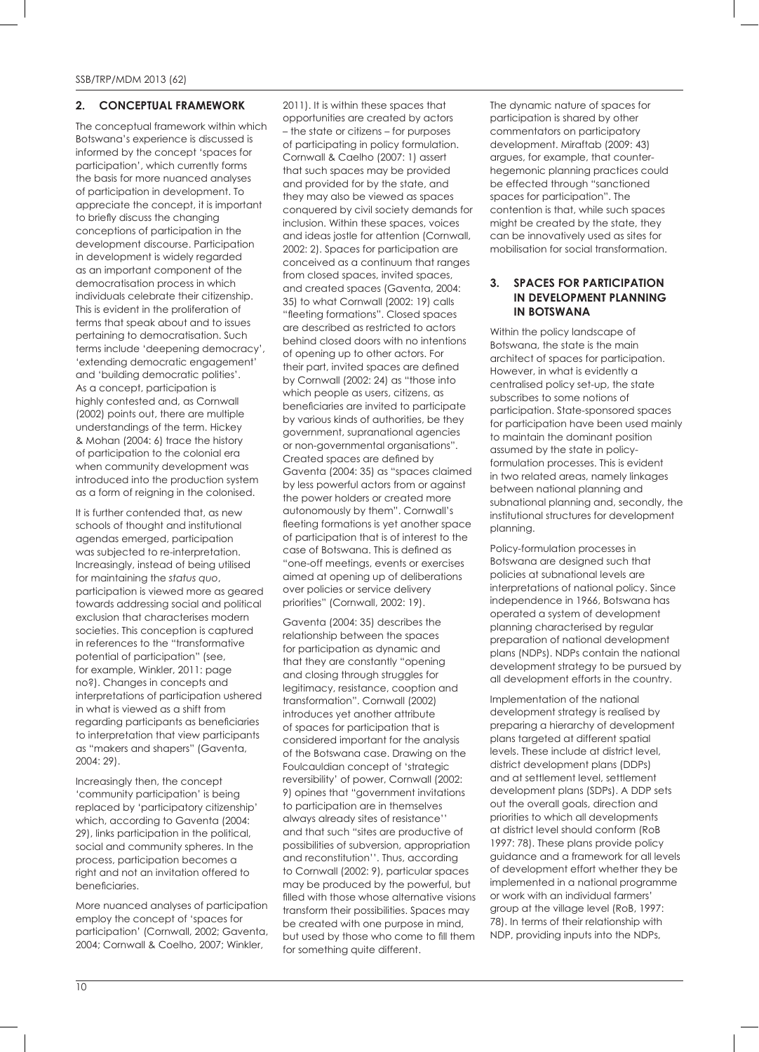#### **2. CONCEPTUAL FRAMEWORK**

The conceptual framework within which Botswana's experience is discussed is informed by the concept 'spaces for participation', which currently forms the basis for more nuanced analyses of participation in development. To appreciate the concept, it is important to briefly discuss the changing conceptions of participation in the development discourse. Participation in development is widely regarded as an important component of the democratisation process in which individuals celebrate their citizenship. This is evident in the proliferation of terms that speak about and to issues pertaining to democratisation. Such terms include 'deepening democracy', 'extending democratic engagement' and 'building democratic polities'. As a concept, participation is highly contested and, as Cornwall (2002) points out, there are multiple understandings of the term. Hickey & Mohan (2004: 6) trace the history of participation to the colonial era when community development was introduced into the production system as a form of reigning in the colonised.

It is further contended that, as new schools of thought and institutional agendas emerged, participation was subjected to re-interpretation. Increasingly, instead of being utilised for maintaining the *status quo*, participation is viewed more as geared towards addressing social and political exclusion that characterises modern societies. This conception is captured in references to the "transformative potential of participation" (see, for example, Winkler, 2011: page no?). Changes in concepts and interpretations of participation ushered in what is viewed as a shift from regarding participants as beneficiaries to interpretation that view participants as "makers and shapers" (Gaventa, 2004: 29).

Increasingly then, the concept 'community participation' is being replaced by 'participatory citizenship' which, according to Gaventa (2004: 29), links participation in the political, social and community spheres. In the process, participation becomes a right and not an invitation offered to beneficiaries.

More nuanced analyses of participation employ the concept of 'spaces for participation' (Cornwall, 2002; Gaventa, 2004; Cornwall & Coelho, 2007; Winkler,

2011). It is within these spaces that opportunities are created by actors – the state or citizens – for purposes of participating in policy formulation. Cornwall & Caelho (2007: 1) assert that such spaces may be provided and provided for by the state, and they may also be viewed as spaces conquered by civil society demands for inclusion. Within these spaces, voices and ideas jostle for attention (Cornwall, 2002: 2). Spaces for participation are conceived as a continuum that ranges from closed spaces, invited spaces, and created spaces (Gaventa, 2004: 35) to what Cornwall (2002: 19) calls "fleeting formations". Closed spaces are described as restricted to actors behind closed doors with no intentions of opening up to other actors. For their part, invited spaces are defined by Cornwall (2002: 24) as "those into which people as users, citizens, as beneficiaries are invited to participate by various kinds of authorities, be they government, supranational agencies or non-governmental organisations". Created spaces are defined by Gaventa (2004: 35) as "spaces claimed by less powerful actors from or against the power holders or created more autonomously by them". Cornwall's fleeting formations is yet another space of participation that is of interest to the case of Botswana. This is defined as "one-off meetings, events or exercises aimed at opening up of deliberations over policies or service delivery priorities" (Cornwall, 2002: 19).

Gaventa (2004: 35) describes the relationship between the spaces for participation as dynamic and that they are constantly "opening and closing through struggles for legitimacy, resistance, cooption and transformation". Cornwall (2002) introduces yet another attribute of spaces for participation that is considered important for the analysis of the Botswana case. Drawing on the Foulcauldian concept of 'strategic reversibility' of power, Cornwall (2002: 9) opines that "government invitations to participation are in themselves always already sites of resistance'' and that such "sites are productive of possibilities of subversion, appropriation and reconstitution''. Thus, according to Cornwall (2002: 9), particular spaces may be produced by the powerful, but filled with those whose alternative visions transform their possibilities. Spaces may be created with one purpose in mind, but used by those who come to fill them for something quite different.

The dynamic nature of spaces for participation is shared by other commentators on participatory development. Miraftab (2009: 43) argues, for example, that counterhegemonic planning practices could be effected through "sanctioned spaces for participation". The contention is that, while such spaces might be created by the state, they can be innovatively used as sites for mobilisation for social transformation.

#### **3. SPACES FOR PARTICIPATION IN DEVELOPMENT PLANNING IN BOTSWANA**

Within the policy landscape of Botswana, the state is the main architect of spaces for participation. However, in what is evidently a centralised policy set-up, the state subscribes to some notions of participation. State-sponsored spaces for participation have been used mainly to maintain the dominant position assumed by the state in policyformulation processes. This is evident in two related areas, namely linkages between national planning and subnational planning and, secondly, the institutional structures for development planning.

Policy-formulation processes in Botswana are designed such that policies at subnational levels are interpretations of national policy. Since independence in 1966, Botswana has operated a system of development planning characterised by regular preparation of national development plans (NDPs). NDPs contain the national development strategy to be pursued by all development efforts in the country.

Implementation of the national development strategy is realised by preparing a hierarchy of development plans targeted at different spatial levels. These include at district level, district development plans (DDPs) and at settlement level, settlement development plans (SDPs). A DDP sets out the overall goals, direction and priorities to which all developments at district level should conform (RoB 1997: 78). These plans provide policy guidance and a framework for all levels of development effort whether they be implemented in a national programme or work with an individual farmers' group at the village level (RoB, 1997: 78). In terms of their relationship with NDP, providing inputs into the NDPs,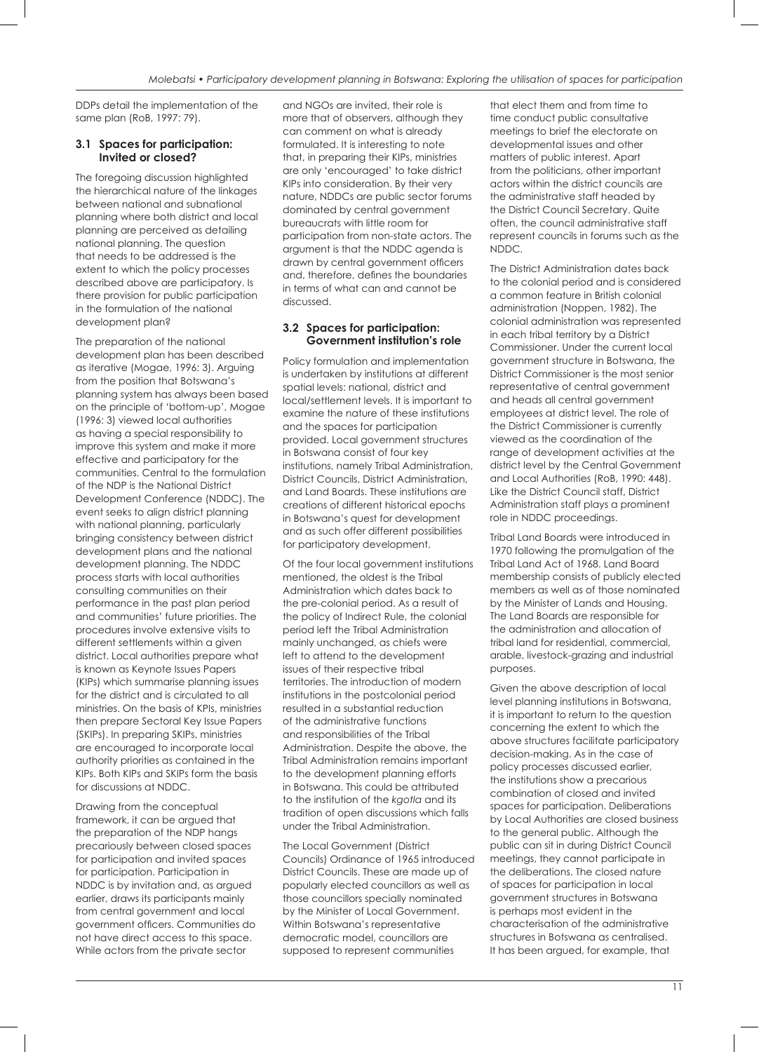DDPs detail the implementation of the same plan (RoB, 1997: 79).

#### **3.1 Spaces for participation: Invited or closed?**

The foregoing discussion highlighted the hierarchical nature of the linkages between national and subnational planning where both district and local planning are perceived as detailing national planning. The question that needs to be addressed is the extent to which the policy processes described above are participatory. Is there provision for public participation in the formulation of the national development plan?

The preparation of the national development plan has been described as iterative (Mogae, 1996: 3). Arguing from the position that Botswana's planning system has always been based on the principle of 'bottom-up', Mogae (1996: 3) viewed local authorities as having a special responsibility to improve this system and make it more effective and participatory for the communities. Central to the formulation of the NDP is the National District Development Conference (NDDC). The event seeks to align district planning with national planning, particularly bringing consistency between district development plans and the national development planning. The NDDC process starts with local authorities consulting communities on their performance in the past plan period and communities' future priorities. The procedures involve extensive visits to different settlements within a given district. Local authorities prepare what is known as Keynote Issues Papers (KIPs) which summarise planning issues for the district and is circulated to all ministries. On the basis of KPIs, ministries then prepare Sectoral Key Issue Papers (SKIPs). In preparing SKIPs, ministries are encouraged to incorporate local authority priorities as contained in the KIPs. Both KIPs and SKIPs form the basis for discussions at NDDC.

Drawing from the conceptual framework, it can be argued that the preparation of the NDP hangs precariously between closed spaces for participation and invited spaces for participation. Participation in NDDC is by invitation and, as argued earlier, draws its participants mainly from central government and local government officers. Communities do not have direct access to this space. While actors from the private sector

and NGOs are invited, their role is more that of observers, although they can comment on what is already formulated. It is interesting to note that, in preparing their KIPs, ministries are only 'encouraged' to take district KIPs into consideration. By their very nature, NDDCs are public sector forums dominated by central government bureaucrats with little room for participation from non-state actors. The argument is that the NDDC agenda is drawn by central government officers and, therefore, defines the boundaries in terms of what can and cannot be discussed.

#### **3.2 Spaces for participation: Government institution's role**

Policy formulation and implementation is undertaken by institutions at different spatial levels: national, district and local/settlement levels. It is important to examine the nature of these institutions and the spaces for participation provided. Local government structures in Botswana consist of four key institutions, namely Tribal Administration, District Councils, District Administration, and Land Boards. These institutions are creations of different historical epochs in Botswana's quest for development and as such offer different possibilities for participatory development.

Of the four local government institutions mentioned, the oldest is the Tribal Administration which dates back to the pre-colonial period. As a result of the policy of Indirect Rule, the colonial period left the Tribal Administration mainly unchanged, as chiefs were left to attend to the development issues of their respective tribal territories. The introduction of modern institutions in the postcolonial period resulted in a substantial reduction of the administrative functions and responsibilities of the Tribal Administration. Despite the above, the Tribal Administration remains important to the development planning efforts in Botswana. This could be attributed to the institution of the *kgotla* and its tradition of open discussions which falls under the Tribal Administration.

The Local Government (District Councils) Ordinance of 1965 introduced District Councils. These are made up of popularly elected councillors as well as those councillors specially nominated by the Minister of Local Government. Within Botswana's representative democratic model, councillors are supposed to represent communities

that elect them and from time to time conduct public consultative meetings to brief the electorate on developmental issues and other matters of public interest. Apart from the politicians, other important actors within the district councils are the administrative staff headed by the District Council Secretary. Quite often, the council administrative staff represent councils in forums such as the NDDC.

The District Administration dates back to the colonial period and is considered a common feature in British colonial administration (Noppen, 1982). The colonial administration was represented in each tribal territory by a District Commissioner. Under the current local government structure in Botswana, the District Commissioner is the most senior representative of central government and heads all central government employees at district level. The role of the District Commissioner is currently viewed as the coordination of the range of development activities at the district level by the Central Government and Local Authorities (RoB, 1990: 448). Like the District Council staff, District Administration staff plays a prominent role in NDDC proceedings.

Tribal Land Boards were introduced in 1970 following the promulgation of the Tribal Land Act of 1968. Land Board membership consists of publicly elected members as well as of those nominated by the Minister of Lands and Housing. The Land Boards are responsible for the administration and allocation of tribal land for residential, commercial, arable, livestock-grazing and industrial purposes.

Given the above description of local level planning institutions in Botswana, it is important to return to the question concerning the extent to which the above structures facilitate participatory decision-making. As in the case of policy processes discussed earlier, the institutions show a precarious combination of closed and invited spaces for participation. Deliberations by Local Authorities are closed business to the general public. Although the public can sit in during District Council meetings, they cannot participate in the deliberations. The closed nature of spaces for participation in local government structures in Botswana is perhaps most evident in the characterisation of the administrative structures in Botswana as centralised. It has been argued, for example, that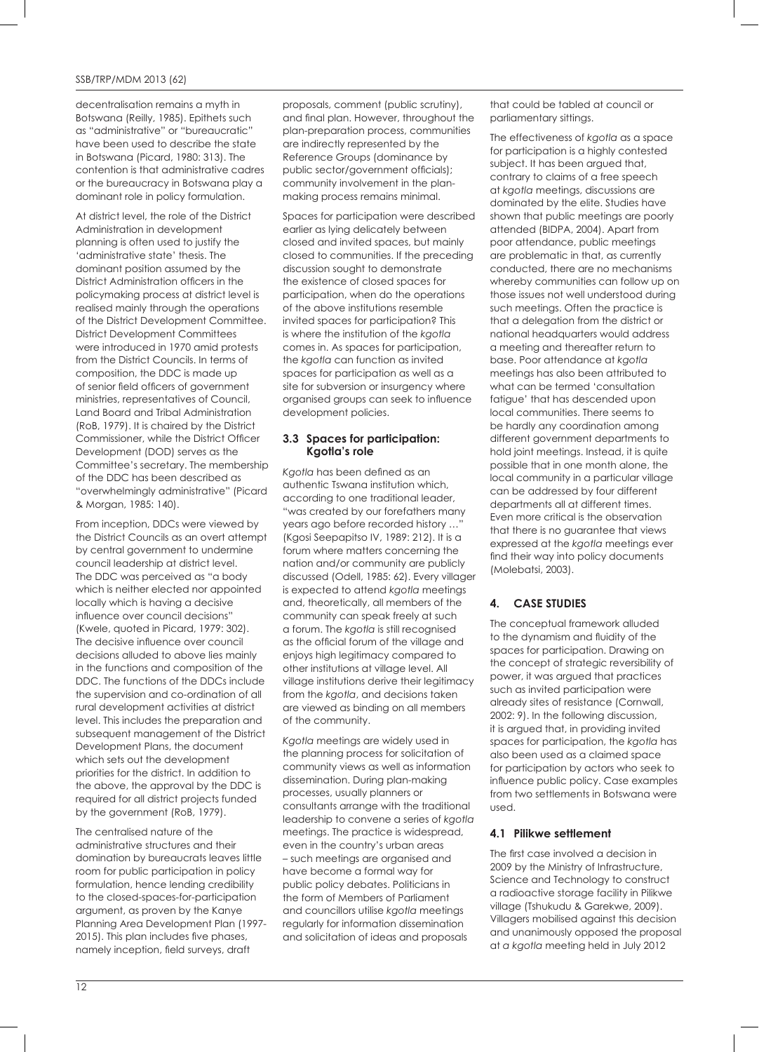decentralisation remains a myth in Botswana (Reilly, 1985). Epithets such as "administrative" or "bureaucratic" have been used to describe the state in Botswana (Picard, 1980: 313). The contention is that administrative cadres or the bureaucracy in Botswana play a dominant role in policy formulation.

At district level, the role of the District Administration in development planning is often used to justify the 'administrative state' thesis. The dominant position assumed by the District Administration officers in the policymaking process at district level is realised mainly through the operations of the District Development Committee. District Development Committees were introduced in 1970 amid protests from the District Councils. In terms of composition, the DDC is made up of senior field officers of government ministries, representatives of Council, Land Board and Tribal Administration (RoB, 1979). It is chaired by the District Commissioner, while the District Officer Development (DOD) serves as the Committee's secretary. The membership of the DDC has been described as "overwhelmingly administrative" (Picard & Morgan, 1985: 140).

From inception, DDCs were viewed by the District Councils as an overt attempt by central government to undermine council leadership at district level. The DDC was perceived as "a body which is neither elected nor appointed locally which is having a decisive influence over council decisions" (Kwele, quoted in Picard, 1979: 302). The decisive influence over council decisions alluded to above lies mainly in the functions and composition of the DDC. The functions of the DDCs include the supervision and co-ordination of all rural development activities at district level. This includes the preparation and subsequent management of the District Development Plans, the document which sets out the development priorities for the district. In addition to the above, the approval by the DDC is required for all district projects funded by the government (RoB, 1979).

The centralised nature of the administrative structures and their domination by bureaucrats leaves little room for public participation in policy formulation, hence lending credibility to the closed-spaces-for-participation argument, as proven by the Kanye Planning Area Development Plan (1997- 2015). This plan includes five phases, namely inception, field surveys, draft

proposals, comment (public scrutiny), and final plan. However, throughout the plan-preparation process, communities are indirectly represented by the Reference Groups (dominance by public sector/government officials); community involvement in the planmaking process remains minimal.

Spaces for participation were described earlier as lying delicately between closed and invited spaces, but mainly closed to communities. If the preceding discussion sought to demonstrate the existence of closed spaces for participation, when do the operations of the above institutions resemble invited spaces for participation? This is where the institution of the *kgotla* comes in. As spaces for participation, the *kgotla* can function as invited spaces for participation as well as a site for subversion or insurgency where organised groups can seek to influence development policies.

#### **3.3 Spaces for participation: Kgotla's role**

*Kgotla* has been defined as an authentic Tswana institution which, according to one traditional leader, "was created by our forefathers many years ago before recorded history …" (Kgosi Seepapitso IV, 1989: 212). It is a forum where matters concerning the nation and/or community are publicly discussed (Odell, 1985: 62). Every villager is expected to attend *kgotla* meetings and, theoretically, all members of the community can speak freely at such a forum. The *kgotla* is still recognised as the official forum of the village and enjoys high legitimacy compared to other institutions at village level. All village institutions derive their legitimacy from the *kgotla*, and decisions taken are viewed as binding on all members of the community.

*Kgotla* meetings are widely used in the planning process for solicitation of community views as well as information dissemination. During plan-making processes, usually planners or consultants arrange with the traditional leadership to convene a series of *kgotla*  meetings. The practice is widespread, even in the country's urban areas – such meetings are organised and have become a formal way for public policy debates. Politicians in the form of Members of Parliament and councillors utilise *kgotla* meetings regularly for information dissemination and solicitation of ideas and proposals

that could be tabled at council or parliamentary sittings.

The effectiveness of *kgotla* as a space for participation is a highly contested subject. It has been argued that, contrary to claims of a free speech at *kgotla* meetings, discussions are dominated by the elite. Studies have shown that public meetings are poorly attended (BIDPA, 2004). Apart from poor attendance, public meetings are problematic in that, as currently conducted, there are no mechanisms whereby communities can follow up on those issues not well understood during such meetings. Often the practice is that a delegation from the district or national headquarters would address a meeting and thereafter return to base. Poor attendance at *kgotla* meetings has also been attributed to what can be termed 'consultation fatigue' that has descended upon local communities. There seems to be hardly any coordination among different government departments to hold joint meetings. Instead, it is quite possible that in one month alone, the local community in a particular village can be addressed by four different departments all at different times. Even more critical is the observation that there is no guarantee that views expressed at the *kgotla* meetings ever find their way into policy documents (Molebatsi, 2003).

## **4. CASE STUDIES**

The conceptual framework alluded to the dynamism and fluidity of the spaces for participation. Drawing on the concept of strategic reversibility of power, it was argued that practices such as invited participation were already sites of resistance (Cornwall, 2002: 9). In the following discussion, it is argued that, in providing invited spaces for participation, the *kgotla* has also been used as a claimed space for participation by actors who seek to influence public policy. Case examples from two settlements in Botswana were used.

#### **4.1 Pilikwe settlement**

The first case involved a decision in 2009 by the Ministry of Infrastructure, Science and Technology to construct a radioactive storage facility in Pilikwe village (Tshukudu & Garekwe, 2009). Villagers mobilised against this decision and unanimously opposed the proposal at *a kgotla* meeting held in July 2012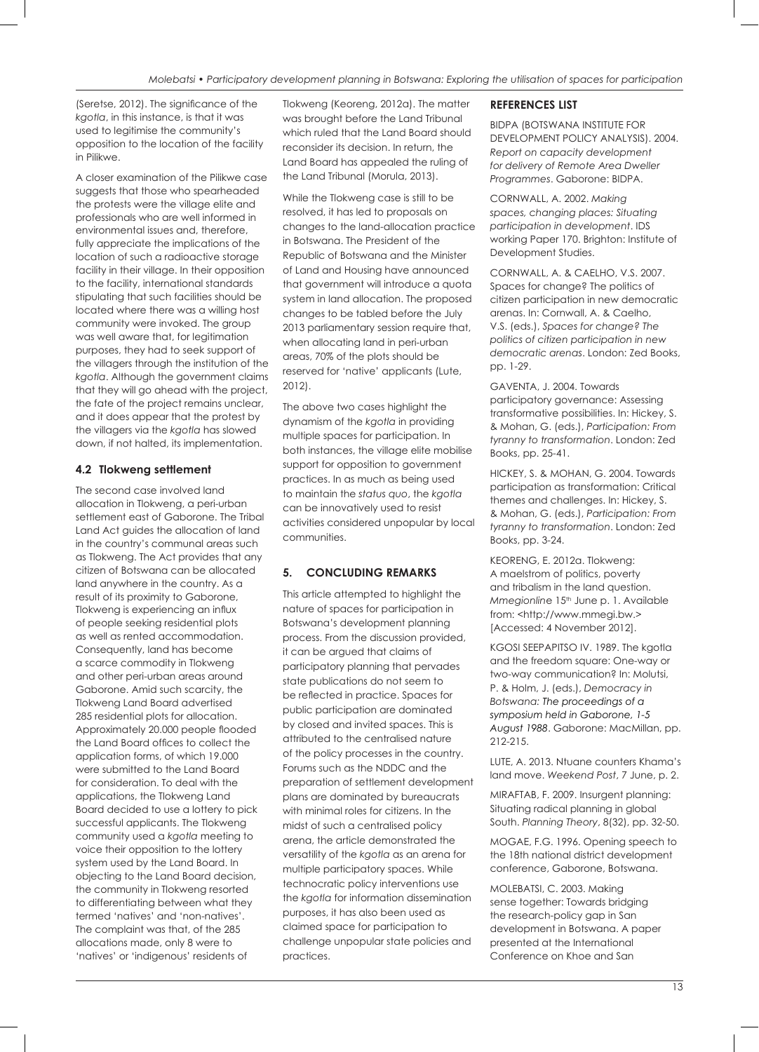(Seretse, 2012). The significance of the *kgotla*, in this instance, is that it was used to legitimise the community's opposition to the location of the facility in Pilikwe.

A closer examination of the Pilikwe case suggests that those who spearheaded the protests were the village elite and professionals who are well informed in environmental issues and, therefore, fully appreciate the implications of the location of such a radioactive storage facility in their village. In their opposition to the facility, international standards stipulating that such facilities should be located where there was a willing host community were invoked. The group was well aware that, for legitimation purposes, they had to seek support of the villagers through the institution of the *kgotla*. Although the government claims that they will go ahead with the project, the fate of the project remains unclear, and it does appear that the protest by the villagers via the *kgotla* has slowed down, if not halted, its implementation.

## **4.2 Tlokweng settlement**

The second case involved land allocation in Tlokweng, a peri-urban settlement east of Gaborone. The Tribal Land Act guides the allocation of land in the country's communal areas such as Tlokweng. The Act provides that any citizen of Botswana can be allocated land anywhere in the country. As a result of its proximity to Gaborone, Tlokweng is experiencing an influx of people seeking residential plots as well as rented accommodation. Consequently, land has become a scarce commodity in Tlokweng and other peri-urban areas around Gaborone. Amid such scarcity, the Tlokweng Land Board advertised 285 residential plots for allocation. Approximately 20.000 people flooded the Land Board offices to collect the application forms, of which 19.000 were submitted to the Land Board for consideration. To deal with the applications, the Tlokweng Land Board decided to use a lottery to pick successful applicants. The Tlokweng community used a *kgotla* meeting to voice their opposition to the lottery system used by the Land Board. In objecting to the Land Board decision, the community in Tlokweng resorted to differentiating between what they termed 'natives' and 'non-natives'. The complaint was that, of the 285 allocations made, only 8 were to 'natives' or 'indigenous' residents of

Tlokweng (Keoreng, 2012a). The matter was brought before the Land Tribunal which ruled that the Land Board should reconsider its decision. In return, the Land Board has appealed the ruling of the Land Tribunal (Morula, 2013).

While the Tlokweng case is still to be resolved, it has led to proposals on changes to the land-allocation practice in Botswana. The President of the Republic of Botswana and the Minister of Land and Housing have announced that government will introduce a quota system in land allocation. The proposed changes to be tabled before the July 2013 parliamentary session require that, when allocating land in peri-urban areas, 70% of the plots should be reserved for 'native' applicants (Lute, 2012).

The above two cases highlight the dynamism of the *kgotla* in providing multiple spaces for participation. In both instances, the village elite mobilise support for opposition to government practices. In as much as being used to maintain the *status quo*, the *kgotla* can be innovatively used to resist activities considered unpopular by local communities.

## **5. CONCLUDING REMARKS**

This article attempted to highlight the nature of spaces for participation in Botswana's development planning process. From the discussion provided, it can be argued that claims of participatory planning that pervades state publications do not seem to be reflected in practice. Spaces for public participation are dominated by closed and invited spaces. This is attributed to the centralised nature of the policy processes in the country. Forums such as the NDDC and the preparation of settlement development plans are dominated by bureaucrats with minimal roles for citizens. In the midst of such a centralised policy arena, the article demonstrated the versatility of the *kgotla* as an arena for multiple participatory spaces. While technocratic policy interventions use the *kgotla* for information dissemination purposes, it has also been used as claimed space for participation to challenge unpopular state policies and practices.

#### **REFERENCES LIST**

BIDPA (BOTSWANA INSTITUTE FOR DEVELOPMENT POLICY ANALYSIS). 2004. *Report on capacity development for delivery of Remote Area Dweller Programmes*. Gaborone: BIDPA.

CORNWALL, A. 2002. *Making spaces, changing places: Situating participation in development*. IDS working Paper 170. Brighton: Institute of Development Studies.

CORNWALL, A. & CAELHO, V.S. 2007. Spaces for change? The politics of citizen participation in new democratic arenas. In: Cornwall, A. & Caelho, V.S. (eds.), *Spaces for change? The politics of citizen participation in new democratic arenas*. London: Zed Books, pp. 1-29.

GAVENTA, J. 2004. Towards participatory governance: Assessing transformative possibilities. In: Hickey, S. & Mohan, G. (eds.), *Participation: From tyranny to transformation*. London: Zed Books, pp. 25-41.

HICKEY, S. & MOHAN, G. 2004. Towards participation as transformation: Critical themes and challenges. In: Hickey, S. & Mohan, G. (eds.), *Participation: From tyranny to transformation*. London: Zed Books, pp. 3-24.

KEORENG, E. 2012a. Tlokweng: A maelstrom of politics, poverty and tribalism in the land question. *Mmegionline* 15<sup>th</sup> June p. 1. Available from: <http://www.mmegi.bw.> [Accessed: 4 November 2012].

KGOSI SEEPAPITSO IV. 1989. The kaotla and the freedom square: One-way or two-way communication? In: Molutsi, P. & Holm, J. (eds.), *Democracy in Botswana: The proceedings of a symposium held in Gaborone, 1-5 August 1988*. Gaborone: MacMillan, pp. 212-215.

LUTE, A. 2013. Ntuane counters Khama's land move. *Weekend Post*, 7 June, p. 2.

MIRAFTAB, F. 2009. Insurgent planning: Situating radical planning in global South. *Planning Theory*, 8(32), pp. 32-50.

MOGAE, F.G. 1996. Opening speech to the 18th national district development conference, Gaborone, Botswana.

MOLEBATSI, C. 2003. Making sense together: Towards bridging the research-policy gap in San development in Botswana. A paper presented at the International Conference on Khoe and San